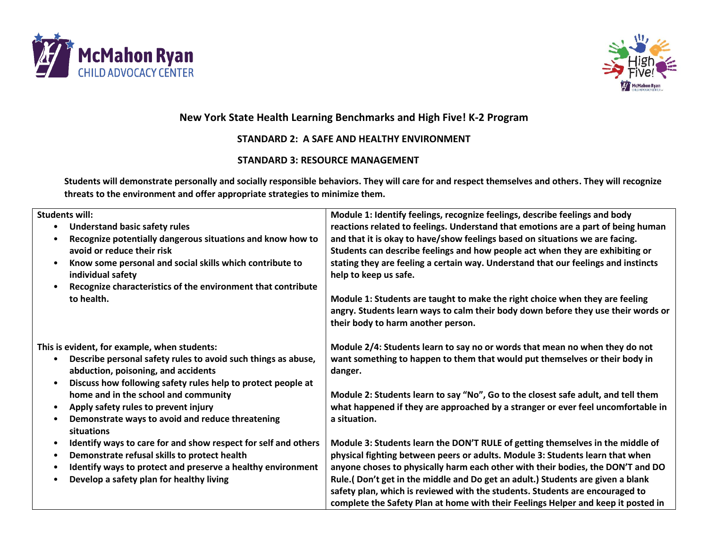



## **New York State Health Learning Benchmarks and High Five! K-2 Program**

## **STANDARD 2: A SAFE AND HEALTHY ENVIRONMENT**

## **STANDARD 3: RESOURCE MANAGEMENT**

**Students will demonstrate personally and socially responsible behaviors. They will care for and respect themselves and others. They will recognize threats to the environment and offer appropriate strategies to minimize them.**

| <b>Students will:</b><br><b>Understand basic safety rules</b><br>Recognize potentially dangerous situations and know how to<br>avoid or reduce their risk<br>Know some personal and social skills which contribute to<br>$\bullet$<br>individual safety<br>Recognize characteristics of the environment that contribute<br>$\bullet$<br>to health. | Module 1: Identify feelings, recognize feelings, describe feelings and body<br>reactions related to feelings. Understand that emotions are a part of being human<br>and that it is okay to have/show feelings based on situations we are facing.<br>Students can describe feelings and how people act when they are exhibiting or<br>stating they are feeling a certain way. Understand that our feelings and instincts<br>help to keep us safe.<br>Module 1: Students are taught to make the right choice when they are feeling<br>angry. Students learn ways to calm their body down before they use their words or<br>their body to harm another person. |
|----------------------------------------------------------------------------------------------------------------------------------------------------------------------------------------------------------------------------------------------------------------------------------------------------------------------------------------------------|-------------------------------------------------------------------------------------------------------------------------------------------------------------------------------------------------------------------------------------------------------------------------------------------------------------------------------------------------------------------------------------------------------------------------------------------------------------------------------------------------------------------------------------------------------------------------------------------------------------------------------------------------------------|
| This is evident, for example, when students:<br>Describe personal safety rules to avoid such things as abuse,<br>$\bullet$<br>abduction, poisoning, and accidents<br>Discuss how following safety rules help to protect people at<br>$\bullet$<br>home and in the school and community                                                             | Module 2/4: Students learn to say no or words that mean no when they do not<br>want something to happen to them that would put themselves or their body in<br>danger.<br>Module 2: Students learn to say "No", Go to the closest safe adult, and tell them                                                                                                                                                                                                                                                                                                                                                                                                  |
| Apply safety rules to prevent injury<br>Demonstrate ways to avoid and reduce threatening<br>situations                                                                                                                                                                                                                                             | what happened if they are approached by a stranger or ever feel uncomfortable in<br>a situation.                                                                                                                                                                                                                                                                                                                                                                                                                                                                                                                                                            |
| Identify ways to care for and show respect for self and others<br>$\bullet$<br>Demonstrate refusal skills to protect health<br>٠<br>Identify ways to protect and preserve a healthy environment<br>Develop a safety plan for healthy living                                                                                                        | Module 3: Students learn the DON'T RULE of getting themselves in the middle of<br>physical fighting between peers or adults. Module 3: Students learn that when<br>anyone choses to physically harm each other with their bodies, the DON'T and DO<br>Rule.(Don't get in the middle and Do get an adult.) Students are given a blank<br>safety plan, which is reviewed with the students. Students are encouraged to<br>complete the Safety Plan at home with their Feelings Helper and keep it posted in                                                                                                                                                   |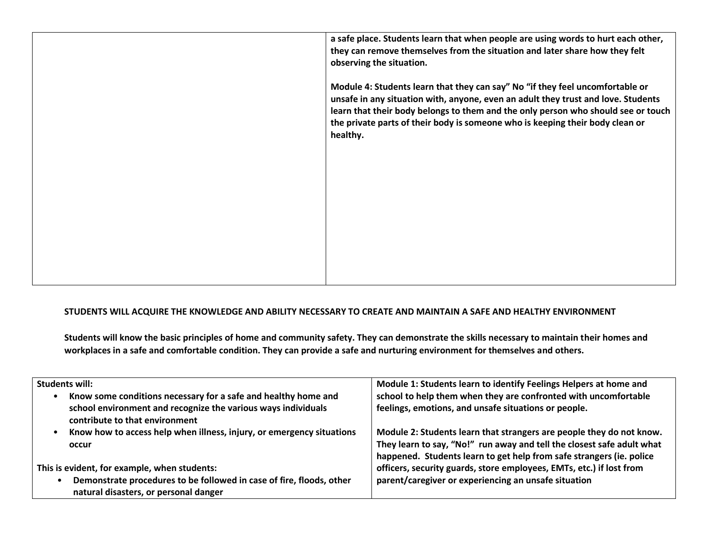**a safe place. Students learn that when people are using words to hurt each other, they can remove themselves from the situation and later share how they felt observing the situation. Module 4: Students learn that they can say" No "if they feel uncomfortable or unsafe in any situation with, anyone, even an adult they trust and love. Students learn that their body belongs to them and the only person who should see or touch the private parts of their body is someone who is keeping their body clean or healthy.**

## **STUDENTS WILL ACQUIRE THE KNOWLEDGE AND ABILITY NECESSARY TO CREATE AND MAINTAIN A SAFE AND HEALTHY ENVIRONMENT**

**Students will know the basic principles of home and community safety. They can demonstrate the skills necessary to maintain their homes and workplaces in a safe and comfortable condition. They can provide a safe and nurturing environment for themselves and others.**

| <b>Students will:</b>                                                       | Module 1: Students learn to identify Feelings Helpers at home and      |
|-----------------------------------------------------------------------------|------------------------------------------------------------------------|
| Know some conditions necessary for a safe and healthy home and<br>$\bullet$ | school to help them when they are confronted with uncomfortable        |
| school environment and recognize the various ways individuals               | feelings, emotions, and unsafe situations or people.                   |
| contribute to that environment                                              |                                                                        |
| Know how to access help when illness, injury, or emergency situations       | Module 2: Students learn that strangers are people they do not know.   |
| occur                                                                       | They learn to say, "No!" run away and tell the closest safe adult what |
|                                                                             | happened. Students learn to get help from safe strangers (ie. police   |
| This is evident, for example, when students:                                | officers, security guards, store employees, EMTs, etc.) if lost from   |
| Demonstrate procedures to be followed in case of fire, floods, other        | parent/caregiver or experiencing an unsafe situation                   |
| natural disasters, or personal danger                                       |                                                                        |